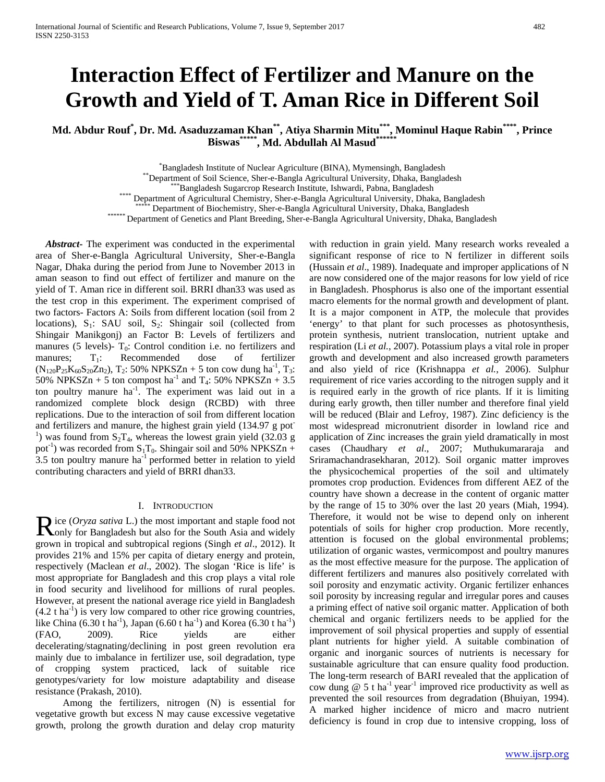# **Interaction Effect of Fertilizer and Manure on the Growth and Yield of T. Aman Rice in Different Soil**

**Md. Abdur Rouf\* , Dr. Md. Asaduzzaman Khan\*\*, Atiya Sharmin Mitu\*\*\*, Mominul Haque Rabin\*\*\*\*, Prince Biswas\*\*\*\*\*, Md. Abdullah Al Masud\*\*\*\*\*\***

\*Bangladesh Institute of Nuclear Agriculture (BINA), Mymensingh, Bangladesh

\*\*\*Department of Soil Science, Sher-e-Bangla Agricultural University, Dhaka, Bangladesh<br>\*\*\*\*Bangladesh Sugarcrop Research Institute, Ishwardi, Pabna, Bangladesh<br>\*\*\*\*\*Department of Agricultural Chemistry, Sher-e-Bangla Agri

 *Abstract***-** The experiment was conducted in the experimental area of Sher-e-Bangla Agricultural University, Sher-e-Bangla Nagar, Dhaka during the period from June to November 2013 in aman season to find out effect of fertilizer and manure on the yield of T. Aman rice in different soil. BRRI dhan33 was used as the test crop in this experiment. The experiment comprised of two factors- Factors A: Soils from different location (soil from 2 locations), S<sub>1</sub>: SAU soil, S<sub>2</sub>: Shingair soil (collected from Shingair Manikgonj) an Factor B: Levels of fertilizers and manures (5 levels)-  $T_0$ : Control condition i.e. no fertilizers and manures; T<sub>1</sub>: Recommended dose of fertilizer  $(N_{120}P_{25}K_{60}S_{20}Zn_2)$ , T<sub>2</sub>: 50% NPKSZn + 5 ton cow dung ha<sup>-1</sup>, T<sub>3</sub>: 50% NPKSZn + 5 ton compost ha<sup>-1</sup> and T<sub>4</sub>: 50% NPKSZn + 3.5 ton poultry manure  $ha^{-1}$ . The experiment was laid out in a randomized complete block design (RCBD) with three replications. Due to the interaction of soil from different location and fertilizers and manure, the highest grain yield (134.97 g pot-<sup>1</sup>) was found from  $S_2T_4$ , whereas the lowest grain yield (32.03 g pot<sup>-1</sup>) was recorded from  $S_1T_0$ . Shingair soil and 50% NPKSZn + 3.5 ton poultry manure  $ha^{-1}$  performed better in relation to yield contributing characters and yield of BRRI dhan33.

## I. INTRODUCTION

**i** ice (*Oryza sativa* L.) the most important and staple food not Rice (Oryza sativa L.) the most important and staple food not<br>
Ronly for Bangladesh but also for the South Asia and widely grown in tropical and subtropical regions (Singh *et al*., 2012). It provides 21% and 15% per capita of dietary energy and protein, respectively (Maclean *et al*., 2002). The slogan 'Rice is life' is most appropriate for Bangladesh and this crop plays a vital role in food security and livelihood for millions of rural peoples. However, at present the national average rice yield in Bangladesh  $(4.2 \text{ t ha}^{-1})$  is very low compared to other rice growing countries, like China (6.30 t ha<sup>-1</sup>), Japan (6.60 t ha<sup>-1</sup>) and Korea (6.30 t ha<sup>-1</sup>) (FAO, 2009). Rice yields are either decelerating/stagnating/declining in post green revolution era mainly due to imbalance in fertilizer use, soil degradation, type of cropping system practiced, lack of suitable rice genotypes/variety for low moisture adaptability and disease resistance (Prakash, 2010).

 Among the fertilizers, nitrogen (N) is essential for vegetative growth but excess N may cause excessive vegetative growth, prolong the growth duration and delay crop maturity with reduction in grain yield. Many research works revealed a significant response of rice to N fertilizer in different soils (Hussain *et al*., 1989). Inadequate and improper applications of N are now considered one of the major reasons for low yield of rice in Bangladesh. Phosphorus is also one of the important essential macro elements for the normal growth and development of plant. It is a major component in ATP, the molecule that provides 'energy' to that plant for such processes as photosynthesis, protein synthesis, nutrient translocation, nutrient uptake and respiration (Li *et al.*, 2007). Potassium plays a vital role in proper growth and development and also increased growth parameters and also yield of rice (Krishnappa *et al.*, 2006). Sulphur requirement of rice varies according to the nitrogen supply and it is required early in the growth of rice plants. If it is limiting during early growth, then tiller number and therefore final yield will be reduced (Blair and Lefroy, 1987). Zinc deficiency is the most widespread micronutrient disorder in lowland rice and application of Zinc increases the grain yield dramatically in most cases (Chaudhary *et al*., 2007; Muthukumararaja and Sriramachandrasekharan, 2012). Soil organic matter improves the physicochemical properties of the soil and ultimately promotes crop production. Evidences from different AEZ of the country have shown a decrease in the content of organic matter by the range of 15 to 30% over the last 20 years (Miah, 1994). Therefore, it would not be wise to depend only on inherent potentials of soils for higher crop production. More recently, attention is focused on the global environmental problems; utilization of organic wastes, vermicompost and poultry manures as the most effective measure for the purpose. The application of different fertilizers and manures also positively correlated with soil porosity and enzymatic activity. Organic fertilizer enhances soil porosity by increasing regular and irregular pores and causes a priming effect of native soil organic matter. Application of both chemical and organic fertilizers needs to be applied for the improvement of soil physical properties and supply of essential plant nutrients for higher yield. A suitable combination of organic and inorganic sources of nutrients is necessary for sustainable agriculture that can ensure quality food production. The long-term research of BARI revealed that the application of cow dung  $@ 5t$  ha<sup>-1</sup> year<sup>-1</sup> improved rice productivity as well as prevented the soil resources from degradation (Bhuiyan, 1994). A marked higher incidence of micro and macro nutrient deficiency is found in crop due to intensive cropping, loss of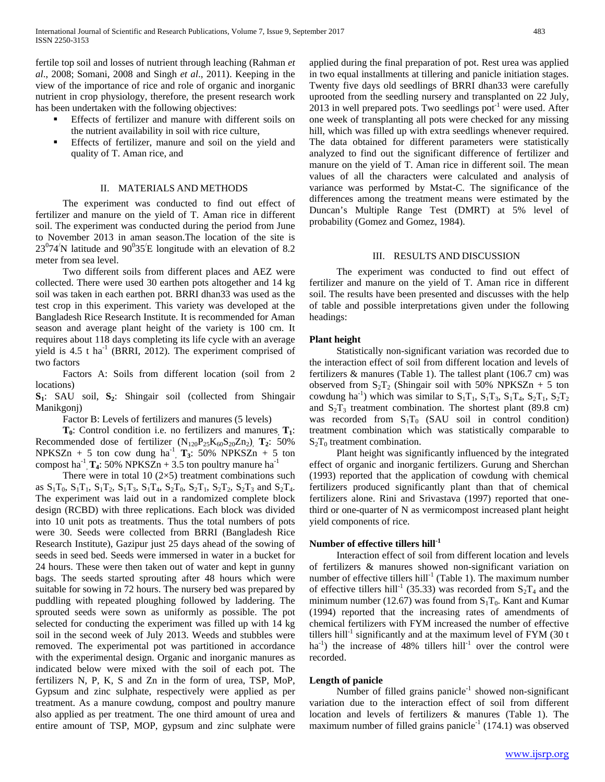fertile top soil and losses of nutrient through leaching (Rahman *et al*., 2008; Somani, 2008 and Singh *et al*., 2011). Keeping in the view of the importance of rice and role of organic and inorganic nutrient in crop physiology, therefore, the present research work has been undertaken with the following objectives:

- Effects of fertilizer and manure with different soils on the nutrient availability in soil with rice culture,
- Effects of fertilizer, manure and soil on the yield and quality of T. Aman rice, and

## II. MATERIALS AND METHODS

 The experiment was conducted to find out effect of fertilizer and manure on the yield of T. Aman rice in different soil. The experiment was conducted during the period from June to November 2013 in aman season.The location of the site is  $23^0$ 74<sup>/</sup>N latitude and  $90^0$ 35<sup>/</sup>E longitude with an elevation of 8.2 meter from sea level.

 Two different soils from different places and AEZ were collected. There were used 30 earthen pots altogether and 14 kg soil was taken in each earthen pot. BRRI dhan33 was used as the test crop in this experiment. This variety was developed at the Bangladesh Rice Research Institute. It is recommended for Aman season and average plant height of the variety is 100 cm. It requires about 118 days completing its life cycle with an average yield is  $4.5$  t ha<sup>-1</sup> (BRRI, 2012). The experiment comprised of two factors

 Factors A: Soils from different location (soil from 2 locations)

S<sub>1</sub>: SAU soil, S<sub>2</sub>: Shingair soil (collected from Shingair Manikgonj)

Factor B: Levels of fertilizers and manures (5 levels)

 $T_0$ : Control condition i.e. no fertilizers and manures  $T_1$ : Recommended dose of fertilizer  $(N_{120}P_{25}K_{60}S_{20}Zn_2)$ ,  $T_2$ : 50% NPKSZn + 5 ton cow dung  $ha^{-1}$ ,  $T_3$ : 50% NPKSZn + 5 ton compost ha<sup>-1</sup>,  $\mathbf{T}_4$ : 50% NPKSZn + 3.5 ton poultry manure ha<sup>-1</sup>

There were in total 10  $(2\times5)$  treatment combinations such as  $S_1T_0$ ,  $S_1T_1$ ,  $S_1T_2$ ,  $S_1T_3$ ,  $S_1T_4$ ,  $S_2T_0$ ,  $S_2T_1$ ,  $S_2T_2$ ,  $S_2T_3$  and  $S_2T_4$ . The experiment was laid out in a randomized complete block design (RCBD) with three replications. Each block was divided into 10 unit pots as treatments. Thus the total numbers of pots were 30. Seeds were collected from BRRI (Bangladesh Rice Research Institute), Gazipur just 25 days ahead of the sowing of seeds in seed bed. Seeds were immersed in water in a bucket for 24 hours. These were then taken out of water and kept in gunny bags. The seeds started sprouting after 48 hours which were suitable for sowing in 72 hours. The nursery bed was prepared by puddling with repeated ploughing followed by laddering. The sprouted seeds were sown as uniformly as possible. The pot selected for conducting the experiment was filled up with 14 kg soil in the second week of July 2013. Weeds and stubbles were removed. The experimental pot was partitioned in accordance with the experimental design. Organic and inorganic manures as indicated below were mixed with the soil of each pot. The fertilizers N, P, K, S and Zn in the form of urea, TSP, MoP, Gypsum and zinc sulphate, respectively were applied as per treatment. As a manure cowdung, compost and poultry manure also applied as per treatment. The one third amount of urea and entire amount of TSP, MOP, gypsum and zinc sulphate were

applied during the final preparation of pot. Rest urea was applied in two equal installments at tillering and panicle initiation stages. Twenty five days old seedlings of BRRI dhan33 were carefully uprooted from the seedling nursery and transplanted on 22 July,  $2013$  in well prepared pots. Two seedlings pot<sup>-1</sup> were used. After one week of transplanting all pots were checked for any missing hill, which was filled up with extra seedlings whenever required. The data obtained for different parameters were statistically analyzed to find out the significant difference of fertilizer and manure on the yield of T. Aman rice in different soil. The mean values of all the characters were calculated and analysis of variance was performed by Mstat-C. The significance of the differences among the treatment means were estimated by the Duncan's Multiple Range Test (DMRT) at 5% level of probability (Gomez and Gomez, 1984).

## III. RESULTS AND DISCUSSION

 The experiment was conducted to find out effect of fertilizer and manure on the yield of T. Aman rice in different soil. The results have been presented and discusses with the help of table and possible interpretations given under the following headings:

## **Plant height**

 Statistically non-significant variation was recorded due to the interaction effect of soil from different location and levels of fertilizers & manures (Table 1). The tallest plant (106.7 cm) was observed from  $S_2T_2$  (Shingair soil with 50% NPKSZn + 5 ton cowdung ha<sup>-1</sup>) which was similar to  $S_1T_1$ ,  $S_1T_3$ ,  $S_1T_4$ ,  $S_2T_1$ ,  $S_2T_2$ and  $S_2T_3$  treatment combination. The shortest plant (89.8 cm) was recorded from  $S_1T_0$  (SAU soil in control condition) treatment combination which was statistically comparable to  $S_2T_0$  treatment combination.

 Plant height was significantly influenced by the integrated effect of organic and inorganic fertilizers. Gurung and Sherchan (1993) reported that the application of cowdung with chemical fertilizers produced significantly plant than that of chemical fertilizers alone. Rini and Srivastava (1997) reported that onethird or one-quarter of N as vermicompost increased plant height yield components of rice.

## **Number of effective tillers hill-1**

 Interaction effect of soil from different location and levels of fertilizers & manures showed non-significant variation on number of effective tillers hill<sup>-1</sup> (Table 1). The maximum number of effective tillers hill<sup>-1</sup> (35.33) was recorded from  $S_2T_4$  and the minimum number (12.67) was found from  $S_1T_0$ . Kant and Kumar (1994) reported that the increasing rates of amendments of chemical fertilizers with FYM increased the number of effective tillers hill<sup>-1</sup> significantly and at the maximum level of FYM (30  $t$ ) ha<sup>-1</sup>) the increase of 48% tillers hill<sup>-1</sup> over the control were recorded.

## **Length of panicle**

Number of filled grains panicle $^{-1}$  showed non-significant variation due to the interaction effect of soil from different location and levels of fertilizers & manures (Table 1). The maximum number of filled grains panicle<sup>-1</sup> (174.1) was observed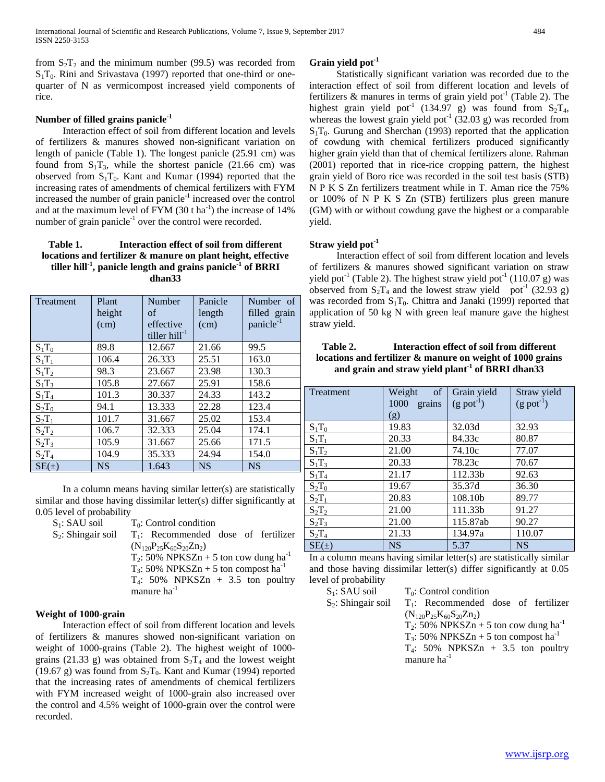from  $S_2T_2$  and the minimum number (99.5) was recorded from  $S_1T_0$ . Rini and Srivastava (1997) reported that one-third or onequarter of N as vermicompost increased yield components of rice.

## **Number of filled grains panicle-1**

 Interaction effect of soil from different location and levels of fertilizers & manures showed non-significant variation on length of panicle (Table 1). The longest panicle (25.91 cm) was found from  $S_1T_3$ , while the shortest panicle (21.66 cm) was observed from  $S_1T_0$ . Kant and Kumar (1994) reported that the increasing rates of amendments of chemical fertilizers with FYM increased the number of grain panicle $^{-1}$  increased over the control and at the maximum level of  $FYM$  (30 t ha<sup>-1</sup>) the increase of 14% number of grain panicle<sup>-1</sup> over the control were recorded.

## **Table 1. Interaction effect of soil from different locations and fertilizer & manure on plant height, effective tiller hill-1 , panicle length and grains panicle-1 of BRRI dhan33**

| Treatment | Plant     | Number                    | Panicle   | Number of             |
|-----------|-----------|---------------------------|-----------|-----------------------|
|           | height    | of                        | length    | filled grain          |
|           | (cm)      | effective                 | (cm)      | panicle <sup>-1</sup> |
|           |           | tiller hill <sup>-1</sup> |           |                       |
| $S_1T_0$  | 89.8      | 12.667                    | 21.66     | 99.5                  |
| $S_1T_1$  | 106.4     | 26.333                    | 25.51     | 163.0                 |
| $S_1T_2$  | 98.3      | 23.667                    | 23.98     | 130.3                 |
| $S_1T_3$  | 105.8     | 27.667                    | 25.91     | 158.6                 |
| $S_1T_4$  | 101.3     | 30.337                    | 24.33     | 143.2                 |
| $S_2T_0$  | 94.1      | 13.333                    | 22.28     | 123.4                 |
| $S_2T_1$  | 101.7     | 31.667                    | 25.02     | 153.4                 |
| $S_2T_2$  | 106.7     | 32.333                    | 25.04     | 174.1                 |
| $S_2T_3$  | 105.9     | 31.667                    | 25.66     | 171.5                 |
| $S_2T_4$  | 104.9     | 35.333                    | 24.94     | 154.0                 |
| $SE(\pm)$ | <b>NS</b> | 1.643                     | <b>NS</b> | <b>NS</b>             |

 In a column means having similar letter(s) are statistically similar and those having dissimilar letter(s) differ significantly at 0.05 level of probability

 $S_1$ : SAU soil  $T_0$ : Control condition

 $S_2$ : Shingair soil  $T_1$ : Recommended dose of fertilizer  $(N_{120}P_{25}K_{60}S_{20}Zn_2)$  $T_2$ : 50% NPKSZn + 5 ton cow dung ha<sup>-1</sup>  $T_3$ : 50% NPKSZn + 5 ton compost ha<sup>-1</sup> T4: 50% NPKSZn + 3.5 ton poultry manure ha<sup>-1</sup>

## **Weight of 1000-grain**

 Interaction effect of soil from different location and levels of fertilizers & manures showed non-significant variation on weight of 1000-grains (Table 2). The highest weight of 1000 grains (21.33 g) was obtained from  $S_2T_4$  and the lowest weight (19.67 g) was found from  $S_2T_0$ . Kant and Kumar (1994) reported that the increasing rates of amendments of chemical fertilizers with FYM increased weight of 1000-grain also increased over the control and 4.5% weight of 1000-grain over the control were recorded.

## **Grain yield pot-1**

 Statistically significant variation was recorded due to the interaction effect of soil from different location and levels of fertilizers & manures in terms of grain yield pot<sup>-1</sup> (Table 2). The highest grain yield pot<sup>-1</sup> (134.97 g) was found from  $S_2T_4$ , whereas the lowest grain yield pot<sup>-1</sup> (32.03 g) was recorded from  $S_1T_0$ . Gurung and Sherchan (1993) reported that the application of cowdung with chemical fertilizers produced significantly higher grain yield than that of chemical fertilizers alone. Rahman (2001) reported that in rice-rice cropping pattern, the highest grain yield of Boro rice was recorded in the soil test basis (STB) N P K S Zn fertilizers treatment while in T. Aman rice the 75% or 100% of N P K S Zn (STB) fertilizers plus green manure (GM) with or without cowdung gave the highest or a comparable yield.

## **Straw yield pot-1**

 Interaction effect of soil from different location and levels of fertilizers & manures showed significant variation on straw yield pot<sup>-1</sup> (Table 2). The highest straw yield pot<sup>-1</sup> (110.07 g) was observed from  $S_2T_4$  and the lowest straw yield pot<sup>-1</sup> (32.93 g) was recorded from  $S_1T_0$ . Chittra and Janaki (1999) reported that application of 50 kg N with green leaf manure gave the highest straw yield.

**Table 2. Interaction effect of soil from different locations and fertilizer & manure on weight of 1000 grains and grain and straw yield plant-1 of BRRI dhan33**

| Treatment | Weight<br>of<br>1000<br>grains<br>(g) | Grain yield<br>$(g$ pot <sup>-1</sup> ) | Straw yield<br>$(g$ pot <sup>-1</sup> ) |
|-----------|---------------------------------------|-----------------------------------------|-----------------------------------------|
| $S_1T_0$  | 19.83                                 | 32.03d                                  | 32.93                                   |
| $S_1T_1$  | 20.33                                 | 84.33c                                  | 80.87                                   |
| $S_1T_2$  | 21.00                                 | 74.10c                                  | 77.07                                   |
| $S_1T_3$  | 20.33                                 | 78.23c                                  | 70.67                                   |
| $S_1T_4$  | 21.17                                 | 112.33b                                 | 92.63                                   |
| $S_2T_0$  | 19.67                                 | 35.37d                                  | 36.30                                   |
| $S_2T_1$  | 20.83                                 | 108.10b                                 | 89.77                                   |
| $S_2T_2$  | 21.00                                 | 111.33b                                 | 91.27                                   |
| $S_2T_3$  | 21.00                                 | 115.87ab                                | 90.27                                   |
| $S_2T_4$  | 21.33                                 | 134.97a                                 | 110.07                                  |
| $SE(\pm)$ | <b>NS</b>                             | 5.37                                    | <b>NS</b>                               |

In a column means having similar letter(s) are statistically similar and those having dissimilar letter(s) differ significantly at 0.05 level of probability

 $S_1$ : SAU soil  $T_0$ : Control condition

 $S_2$ : Shingair soil  $T_1$ : Recommended dose of fertilizer  $(N_{120}P_{25}K_{60}S_{20}Zn_2)$  $T_2$ : 50% NPKSZn + 5 ton cow dung ha<sup>-1</sup>  $T_3$ : 50% NPKSZn + 5 ton compost ha<sup>-1</sup>  $T_4$ : 50% NPKSZn + 3.5 ton poultry manure  $ha^{-1}$